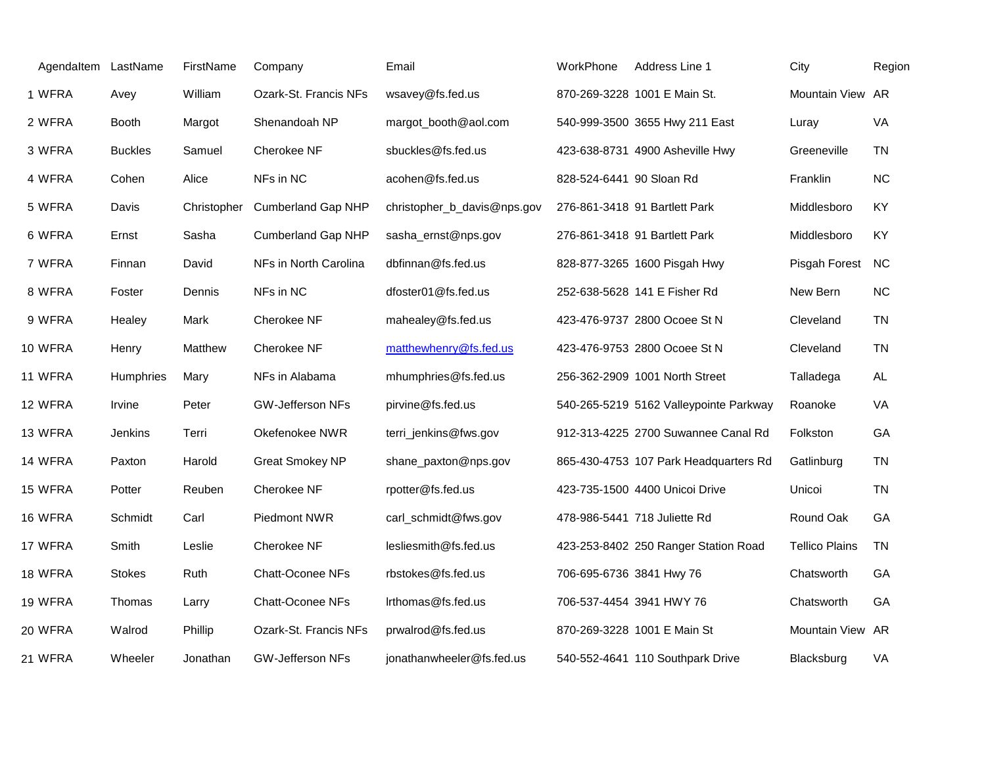| Agendaltem LastName |                | FirstName   | Company                   | Email                       | WorkPhone                | Address Line 1                         | City                  | Region    |
|---------------------|----------------|-------------|---------------------------|-----------------------------|--------------------------|----------------------------------------|-----------------------|-----------|
| 1 WFRA              | Avey           | William     | Ozark-St. Francis NFs     | wsavey@fs.fed.us            |                          | 870-269-3228 1001 E Main St.           | Mountain View         | AR        |
| 2 WFRA              | <b>Booth</b>   | Margot      | Shenandoah NP             | margot_booth@aol.com        |                          | 540-999-3500 3655 Hwy 211 East         | Luray                 | VA        |
| 3 WFRA              | <b>Buckles</b> | Samuel      | Cherokee NF               | sbuckles@fs.fed.us          |                          | 423-638-8731 4900 Asheville Hwy        | Greeneville           | <b>TN</b> |
| 4 WFRA              | Cohen          | Alice       | NFs in NC                 | acohen@fs.fed.us            | 828-524-6441 90 Sloan Rd |                                        | Franklin              | <b>NC</b> |
| 5 WFRA              | Davis          | Christopher | <b>Cumberland Gap NHP</b> | christopher_b_davis@nps.gov |                          | 276-861-3418 91 Bartlett Park          | Middlesboro           | KY        |
| 6 WFRA              | Ernst          | Sasha       | <b>Cumberland Gap NHP</b> | sasha_ernst@nps.gov         |                          | 276-861-3418 91 Bartlett Park          | Middlesboro           | KY        |
| 7 WFRA              | Finnan         | David       | NFs in North Carolina     | dbfinnan@fs.fed.us          |                          | 828-877-3265 1600 Pisgah Hwy           | Pisgah Forest         | <b>NC</b> |
| 8 WFRA              | Foster         | Dennis      | NFs in NC                 | dfoster01@fs.fed.us         |                          | 252-638-5628 141 E Fisher Rd           | New Bern              | <b>NC</b> |
| 9 WFRA              | Healey         | Mark        | Cherokee NF               | mahealey@fs.fed.us          |                          | 423-476-9737 2800 Ocoee St N           | Cleveland             | <b>TN</b> |
| 10 WFRA             | Henry          | Matthew     | Cherokee NF               | matthewhenry@fs.fed.us      |                          | 423-476-9753 2800 Ocoee St N           | Cleveland             | <b>TN</b> |
| 11 WFRA             | Humphries      | Mary        | NFs in Alabama            | mhumphries@fs.fed.us        |                          | 256-362-2909 1001 North Street         | Talladega             | <b>AL</b> |
| 12 WFRA             | Irvine         | Peter       | <b>GW-Jefferson NFs</b>   | pirvine@fs.fed.us           |                          | 540-265-5219 5162 Valleypointe Parkway | Roanoke               | VA        |
| 13 WFRA             | Jenkins        | Terri       | Okefenokee NWR            | terri_jenkins@fws.gov       |                          | 912-313-4225 2700 Suwannee Canal Rd    | Folkston              | GA        |
| 14 WFRA             | Paxton         | Harold      | <b>Great Smokey NP</b>    | shane_paxton@nps.gov        |                          | 865-430-4753 107 Park Headquarters Rd  | Gatlinburg            | <b>TN</b> |
| 15 WFRA             | Potter         | Reuben      | Cherokee NF               | rpotter@fs.fed.us           |                          | 423-735-1500 4400 Unicoi Drive         | Unicoi                | <b>TN</b> |
| 16 WFRA             | Schmidt        | Carl        | Piedmont NWR              | carl_schmidt@fws.gov        |                          | 478-986-5441 718 Juliette Rd           | Round Oak             | GA        |
| 17 WFRA             | Smith          | Leslie      | Cherokee NF               | lesliesmith@fs.fed.us       |                          | 423-253-8402 250 Ranger Station Road   | <b>Tellico Plains</b> | <b>TN</b> |
| 18 WFRA             | <b>Stokes</b>  | Ruth        | <b>Chatt-Oconee NFs</b>   | rbstokes@fs.fed.us          | 706-695-6736 3841 Hwy 76 |                                        | Chatsworth            | GA        |
| 19 WFRA             | Thomas         | Larry       | <b>Chatt-Oconee NFs</b>   | Irthomas@fs.fed.us          |                          | 706-537-4454 3941 HWY 76               | Chatsworth            | GA        |
| 20 WFRA             | Walrod         | Phillip     | Ozark-St. Francis NFs     | prwalrod@fs.fed.us          |                          | 870-269-3228 1001 E Main St            | Mountain View AR      |           |
| 21 WFRA             | Wheeler        | Jonathan    | GW-Jefferson NFs          | jonathanwheeler@fs.fed.us   |                          | 540-552-4641 110 Southpark Drive       | Blacksburg            | VA        |